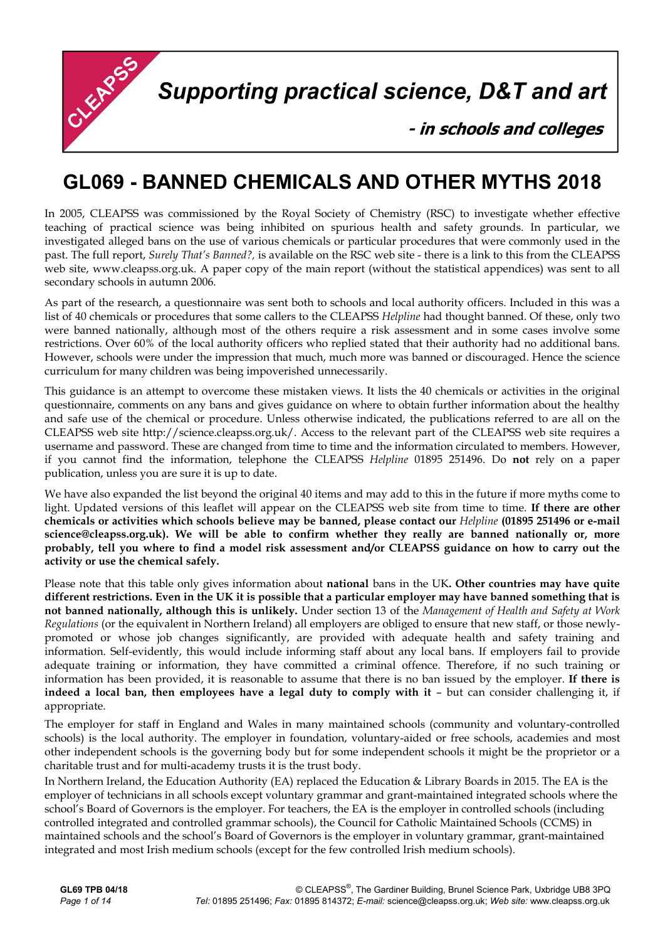

**Supporting practical science, D&T and art** 

- in schools and colleges

## **GL069 - BANNED CHEMICALS AND OTHER MYTHS 2018**

In 2005, CLEAPSS was commissioned by the Royal Society of Chemistry (RSC) to investigate whether effective teaching of practical science was being inhibited on spurious health and safety grounds. In particular, we investigated alleged bans on the use of various chemicals or particular procedures that were commonly used in the past. The full report, *Surely That's Banned?,* is available on the RSC web site - there is a link to this from the CLEAPSS web site, www.cleapss.org.uk. A paper copy of the main report (without the statistical appendices) was sent to all secondary schools in autumn 2006.

As part of the research, a questionnaire was sent both to schools and local authority officers. Included in this was a list of 40 chemicals or procedures that some callers to the CLEAPSS *Helpline* had thought banned. Of these, only two were banned nationally, although most of the others require a risk assessment and in some cases involve some restrictions. Over 60% of the local authority officers who replied stated that their authority had no additional bans. However, schools were under the impression that much, much more was banned or discouraged. Hence the science curriculum for many children was being impoverished unnecessarily.

This guidance is an attempt to overcome these mistaken views. It lists the 40 chemicals or activities in the original questionnaire, comments on any bans and gives guidance on where to obtain further information about the healthy and safe use of the chemical or procedure. Unless otherwise indicated, the publications referred to are all on the CLEAPSS web site http://science.cleapss.org.uk/. Access to the relevant part of the CLEAPSS web site requires a username and password. These are changed from time to time and the information circulated to members. However, if you cannot find the information, telephone the CLEAPSS *Helpline* 01895 251496. Do **not** rely on a paper publication, unless you are sure it is up to date.

We have also expanded the list beyond the original 40 items and may add to this in the future if more myths come to light. Updated versions of this leaflet will appear on the CLEAPSS web site from time to time. **If there are other chemicals or activities which schools believe may be banned, please contact our** *Helpline* **(01895 251496 or e-mail science@cleapss.org.uk). We will be able to confirm whether they really are banned nationally or, more probably, tell you where to find a model risk assessment and/or CLEAPSS guidance on how to carry out the activity or use the chemical safely.**

Please note that this table only gives information about **national** bans in the UK**. Other countries may have quite different restrictions. Even in the UK it is possible that a particular employer may have banned something that is not banned nationally, although this is unlikely.** Under section 13 of the *Management of Health and Safety at Work Regulations* (or the equivalent in Northern Ireland) all employers are obliged to ensure that new staff, or those newlypromoted or whose job changes significantly, are provided with adequate health and safety training and information. Self-evidently, this would include informing staff about any local bans. If employers fail to provide adequate training or information, they have committed a criminal offence. Therefore, if no such training or information has been provided, it is reasonable to assume that there is no ban issued by the employer. **If there is indeed a local ban, then employees have a legal duty to comply with it** – but can consider challenging it, if appropriate.

The employer for staff in England and Wales in many maintained schools (community and voluntary-controlled schools) is the local authority. The employer in foundation, voluntary-aided or free schools, academies and most other independent schools is the governing body but for some independent schools it might be the proprietor or a charitable trust and for multi-academy trusts it is the trust body.

In Northern Ireland, the Education Authority (EA) replaced the Education & Library Boards in 2015. The EA is the employer of technicians in all schools except voluntary grammar and grant-maintained integrated schools where the school's Board of Governors is the employer. For teachers, the EA is the employer in controlled schools (including controlled integrated and controlled grammar schools), the Council for Catholic Maintained Schools (CCMS) in maintained schools and the school's Board of Governors is the employer in voluntary grammar, grant-maintained integrated and most Irish medium schools (except for the few controlled Irish medium schools).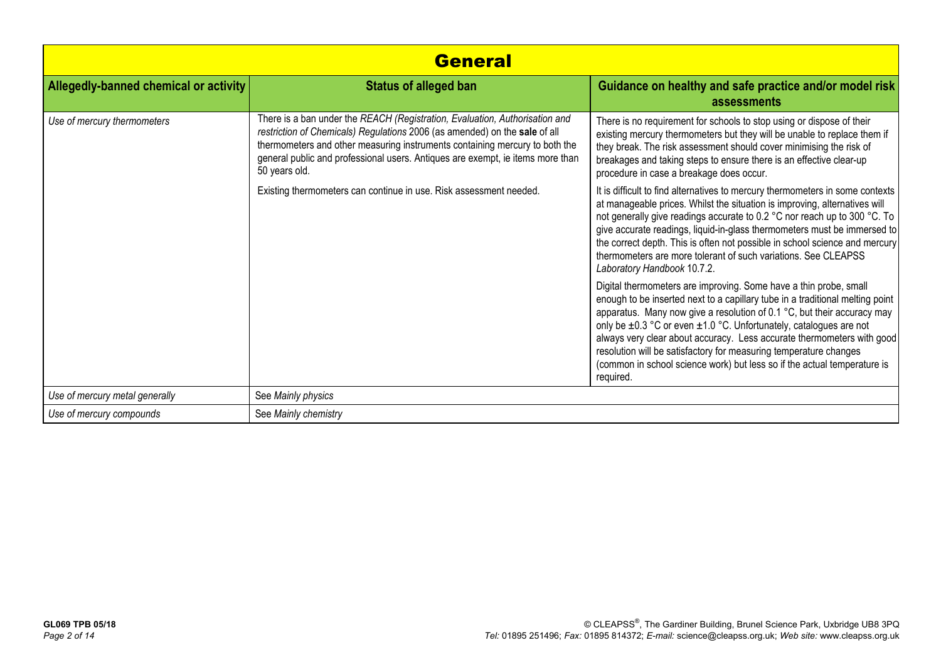| <b>General</b>                        |                                                                                                                                                                                                                                                                                                                                             |                                                                                                                                                                                                                                                                                                                                                                                                                                                                                                                                             |
|---------------------------------------|---------------------------------------------------------------------------------------------------------------------------------------------------------------------------------------------------------------------------------------------------------------------------------------------------------------------------------------------|---------------------------------------------------------------------------------------------------------------------------------------------------------------------------------------------------------------------------------------------------------------------------------------------------------------------------------------------------------------------------------------------------------------------------------------------------------------------------------------------------------------------------------------------|
| Allegedly-banned chemical or activity | <b>Status of alleged ban</b>                                                                                                                                                                                                                                                                                                                | Guidance on healthy and safe practice and/or model risk<br>assessments                                                                                                                                                                                                                                                                                                                                                                                                                                                                      |
| Use of mercury thermometers           | There is a ban under the REACH (Registration, Evaluation, Authorisation and<br>restriction of Chemicals) Regulations 2006 (as amended) on the sale of all<br>thermometers and other measuring instruments containing mercury to both the<br>general public and professional users. Antiques are exempt, ie items more than<br>50 years old. | There is no requirement for schools to stop using or dispose of their<br>existing mercury thermometers but they will be unable to replace them if<br>they break. The risk assessment should cover minimising the risk of<br>breakages and taking steps to ensure there is an effective clear-up<br>procedure in case a breakage does occur.                                                                                                                                                                                                 |
|                                       | Existing thermometers can continue in use. Risk assessment needed.                                                                                                                                                                                                                                                                          | It is difficult to find alternatives to mercury thermometers in some contexts<br>at manageable prices. Whilst the situation is improving, alternatives will<br>not generally give readings accurate to 0.2 °C nor reach up to 300 °C. To<br>give accurate readings, liquid-in-glass thermometers must be immersed to<br>the correct depth. This is often not possible in school science and mercury<br>thermometers are more tolerant of such variations. See CLEAPSS<br>Laboratory Handbook 10.7.2.                                        |
|                                       |                                                                                                                                                                                                                                                                                                                                             | Digital thermometers are improving. Some have a thin probe, small<br>enough to be inserted next to a capillary tube in a traditional melting point<br>apparatus. Many now give a resolution of 0.1 °C, but their accuracy may<br>only be ±0.3 °C or even ±1.0 °C. Unfortunately, catalogues are not<br>always very clear about accuracy. Less accurate thermometers with good<br>resolution will be satisfactory for measuring temperature changes<br>(common in school science work) but less so if the actual temperature is<br>required. |
| Use of mercury metal generally        | See Mainly physics                                                                                                                                                                                                                                                                                                                          |                                                                                                                                                                                                                                                                                                                                                                                                                                                                                                                                             |
| Use of mercury compounds              | See Mainly chemistry                                                                                                                                                                                                                                                                                                                        |                                                                                                                                                                                                                                                                                                                                                                                                                                                                                                                                             |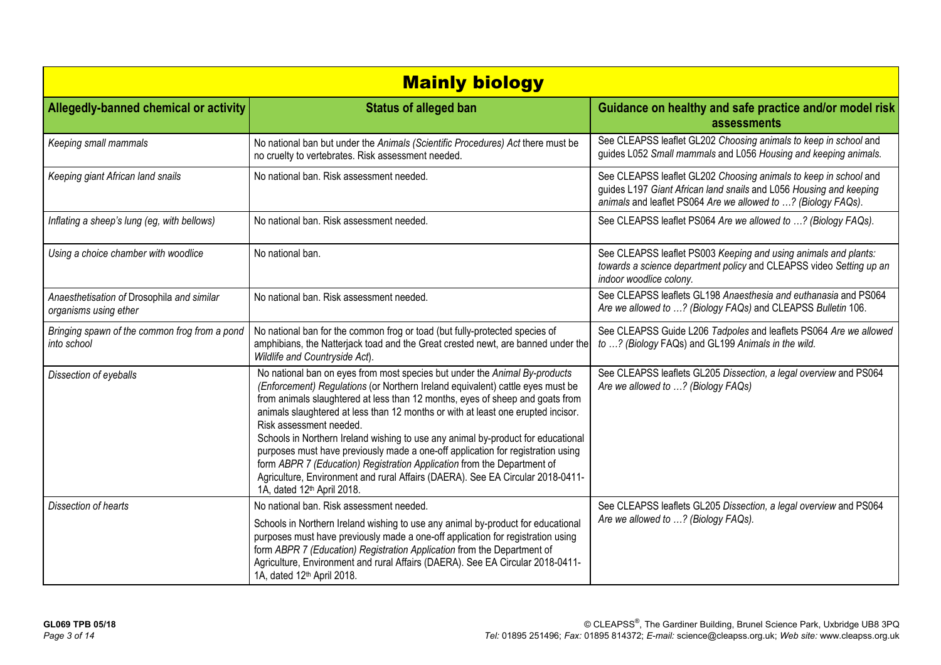| <b>Mainly biology</b>                                               |                                                                                                                                                                                                                                                                                                                                                                                                                                                                                                                                                                                                                                                                                                                                            |                                                                                                                                                                                                         |  |
|---------------------------------------------------------------------|--------------------------------------------------------------------------------------------------------------------------------------------------------------------------------------------------------------------------------------------------------------------------------------------------------------------------------------------------------------------------------------------------------------------------------------------------------------------------------------------------------------------------------------------------------------------------------------------------------------------------------------------------------------------------------------------------------------------------------------------|---------------------------------------------------------------------------------------------------------------------------------------------------------------------------------------------------------|--|
| Allegedly-banned chemical or activity                               | <b>Status of alleged ban</b>                                                                                                                                                                                                                                                                                                                                                                                                                                                                                                                                                                                                                                                                                                               | Guidance on healthy and safe practice and/or model risk<br>assessments                                                                                                                                  |  |
| Keeping small mammals                                               | No national ban but under the Animals (Scientific Procedures) Act there must be<br>no cruelty to vertebrates. Risk assessment needed.                                                                                                                                                                                                                                                                                                                                                                                                                                                                                                                                                                                                      | See CLEAPSS leaflet GL202 Choosing animals to keep in school and<br>guides L052 Small mammals and L056 Housing and keeping animals.                                                                     |  |
| Keeping giant African land snails                                   | No national ban. Risk assessment needed.                                                                                                                                                                                                                                                                                                                                                                                                                                                                                                                                                                                                                                                                                                   | See CLEAPSS leaflet GL202 Choosing animals to keep in school and<br>guides L197 Giant African land snails and L056 Housing and keeping<br>animals and leaflet PS064 Are we allowed to ? (Biology FAQs). |  |
| Inflating a sheep's lung (eg, with bellows)                         | No national ban. Risk assessment needed.                                                                                                                                                                                                                                                                                                                                                                                                                                                                                                                                                                                                                                                                                                   | See CLEAPSS leaflet PS064 Are we allowed to ? (Biology FAQs).                                                                                                                                           |  |
| Using a choice chamber with woodlice                                | No national ban.                                                                                                                                                                                                                                                                                                                                                                                                                                                                                                                                                                                                                                                                                                                           | See CLEAPSS leaflet PS003 Keeping and using animals and plants:<br>towards a science department policy and CLEAPSS video Setting up an<br>indoor woodlice colony.                                       |  |
| Anaesthetisation of Drosophila and similar<br>organisms using ether | No national ban. Risk assessment needed.                                                                                                                                                                                                                                                                                                                                                                                                                                                                                                                                                                                                                                                                                                   | See CLEAPSS leaflets GL198 Anaesthesia and euthanasia and PS064<br>Are we allowed to ? (Biology FAQs) and CLEAPSS Bulletin 106.                                                                         |  |
| Bringing spawn of the common frog from a pond<br>into school        | No national ban for the common frog or toad (but fully-protected species of<br>amphibians, the Natterjack toad and the Great crested newt, are banned under the<br>Wildlife and Countryside Act).                                                                                                                                                                                                                                                                                                                                                                                                                                                                                                                                          | See CLEAPSS Guide L206 Tadpoles and leaflets PS064 Are we allowed<br>to ? (Biology FAQs) and GL199 Animals in the wild.                                                                                 |  |
| Dissection of eyeballs                                              | No national ban on eyes from most species but under the Animal By-products<br>(Enforcement) Regulations (or Northern Ireland equivalent) cattle eyes must be<br>from animals slaughtered at less than 12 months, eyes of sheep and goats from<br>animals slaughtered at less than 12 months or with at least one erupted incisor.<br>Risk assessment needed.<br>Schools in Northern Ireland wishing to use any animal by-product for educational<br>purposes must have previously made a one-off application for registration using<br>form ABPR 7 (Education) Registration Application from the Department of<br>Agriculture, Environment and rural Affairs (DAERA). See EA Circular 2018-0411-<br>1A, dated 12 <sup>th</sup> April 2018. | See CLEAPSS leaflets GL205 Dissection, a legal overview and PS064<br>Are we allowed to ? (Biology FAQs)                                                                                                 |  |
| Dissection of hearts                                                | No national ban. Risk assessment needed.<br>Schools in Northern Ireland wishing to use any animal by-product for educational<br>purposes must have previously made a one-off application for registration using<br>form ABPR 7 (Education) Registration Application from the Department of<br>Agriculture, Environment and rural Affairs (DAERA). See EA Circular 2018-0411-<br>1A, dated 12 <sup>th</sup> April 2018.                                                                                                                                                                                                                                                                                                                     | See CLEAPSS leaflets GL205 Dissection, a legal overview and PS064<br>Are we allowed to ? (Biology FAQs).                                                                                                |  |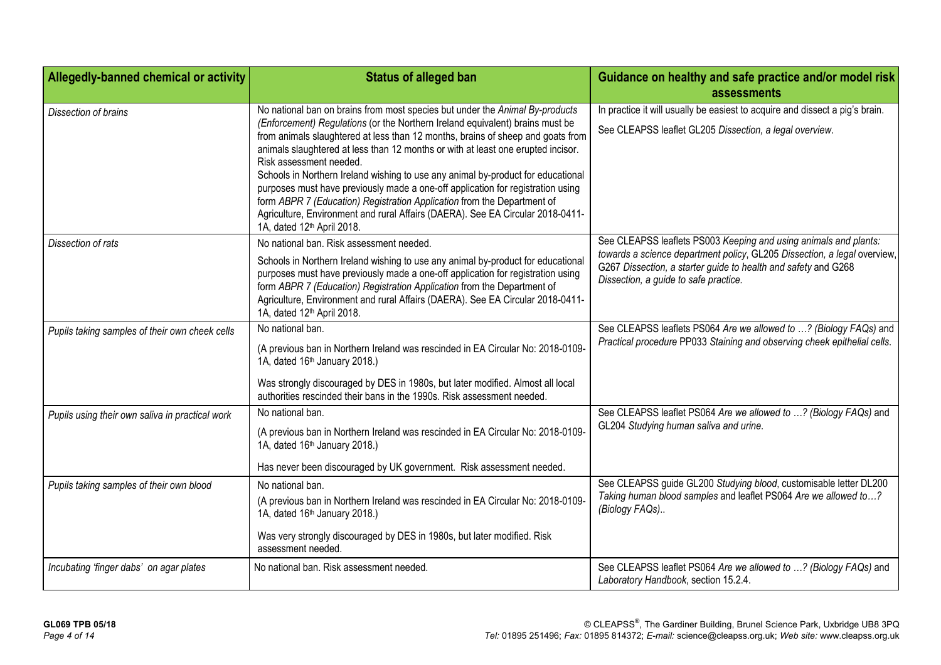| Allegedly-banned chemical or activity           | <b>Status of alleged ban</b>                                                                                                                                                                                                                                                                                                                                                                                                                                                                                                                                                                                                                                  | Guidance on healthy and safe practice and/or model risk<br>assessments                                                                                                              |
|-------------------------------------------------|---------------------------------------------------------------------------------------------------------------------------------------------------------------------------------------------------------------------------------------------------------------------------------------------------------------------------------------------------------------------------------------------------------------------------------------------------------------------------------------------------------------------------------------------------------------------------------------------------------------------------------------------------------------|-------------------------------------------------------------------------------------------------------------------------------------------------------------------------------------|
|                                                 |                                                                                                                                                                                                                                                                                                                                                                                                                                                                                                                                                                                                                                                               |                                                                                                                                                                                     |
| Dissection of brains                            | No national ban on brains from most species but under the Animal By-products                                                                                                                                                                                                                                                                                                                                                                                                                                                                                                                                                                                  | In practice it will usually be easiest to acquire and dissect a pig's brain.                                                                                                        |
|                                                 | (Enforcement) Regulations (or the Northern Ireland equivalent) brains must be<br>from animals slaughtered at less than 12 months, brains of sheep and goats from<br>animals slaughtered at less than 12 months or with at least one erupted incisor.<br>Risk assessment needed.<br>Schools in Northern Ireland wishing to use any animal by-product for educational<br>purposes must have previously made a one-off application for registration using<br>form ABPR 7 (Education) Registration Application from the Department of<br>Agriculture, Environment and rural Affairs (DAERA). See EA Circular 2018-0411-<br>1A, dated 12 <sup>th</sup> April 2018. | See CLEAPSS leaflet GL205 Dissection, a legal overview.                                                                                                                             |
| Dissection of rats                              | No national ban. Risk assessment needed.                                                                                                                                                                                                                                                                                                                                                                                                                                                                                                                                                                                                                      | See CLEAPSS leaflets PS003 Keeping and using animals and plants:                                                                                                                    |
|                                                 | Schools in Northern Ireland wishing to use any animal by-product for educational<br>purposes must have previously made a one-off application for registration using<br>form ABPR 7 (Education) Registration Application from the Department of<br>Agriculture, Environment and rural Affairs (DAERA). See EA Circular 2018-0411-<br>1A, dated 12 <sup>th</sup> April 2018.                                                                                                                                                                                                                                                                                    | towards a science department policy, GL205 Dissection, a legal overview,<br>G267 Dissection, a starter guide to health and safety and G268<br>Dissection, a guide to safe practice. |
| Pupils taking samples of their own cheek cells  | No national ban.                                                                                                                                                                                                                                                                                                                                                                                                                                                                                                                                                                                                                                              | See CLEAPSS leaflets PS064 Are we allowed to ? (Biology FAQs) and                                                                                                                   |
|                                                 | (A previous ban in Northern Ireland was rescinded in EA Circular No: 2018-0109-<br>1A, dated 16th January 2018.)                                                                                                                                                                                                                                                                                                                                                                                                                                                                                                                                              | Practical procedure PP033 Staining and observing cheek epithelial cells.                                                                                                            |
|                                                 | Was strongly discouraged by DES in 1980s, but later modified. Almost all local<br>authorities rescinded their bans in the 1990s. Risk assessment needed.                                                                                                                                                                                                                                                                                                                                                                                                                                                                                                      |                                                                                                                                                                                     |
| Pupils using their own saliva in practical work | No national ban.                                                                                                                                                                                                                                                                                                                                                                                                                                                                                                                                                                                                                                              | See CLEAPSS leaflet PS064 Are we allowed to ? (Biology FAQs) and                                                                                                                    |
|                                                 | (A previous ban in Northern Ireland was rescinded in EA Circular No: 2018-0109-<br>1A, dated 16th January 2018.)                                                                                                                                                                                                                                                                                                                                                                                                                                                                                                                                              | GL204 Studying human saliva and urine.                                                                                                                                              |
|                                                 | Has never been discouraged by UK government. Risk assessment needed.                                                                                                                                                                                                                                                                                                                                                                                                                                                                                                                                                                                          |                                                                                                                                                                                     |
| Pupils taking samples of their own blood        | No national ban.                                                                                                                                                                                                                                                                                                                                                                                                                                                                                                                                                                                                                                              | See CLEAPSS guide GL200 Studying blood, customisable letter DL200<br>Taking human blood samples and leaflet PS064 Are we allowed to?<br>(Biology FAQs)                              |
|                                                 | (A previous ban in Northern Ireland was rescinded in EA Circular No: 2018-0109-<br>1A, dated 16 <sup>th</sup> January 2018.)                                                                                                                                                                                                                                                                                                                                                                                                                                                                                                                                  |                                                                                                                                                                                     |
|                                                 | Was very strongly discouraged by DES in 1980s, but later modified. Risk<br>assessment needed.                                                                                                                                                                                                                                                                                                                                                                                                                                                                                                                                                                 |                                                                                                                                                                                     |
| Incubating 'finger dabs' on agar plates         | No national ban. Risk assessment needed.                                                                                                                                                                                                                                                                                                                                                                                                                                                                                                                                                                                                                      | See CLEAPSS leaflet PS064 Are we allowed to ? (Biology FAQs) and<br>Laboratory Handbook, section 15.2.4.                                                                            |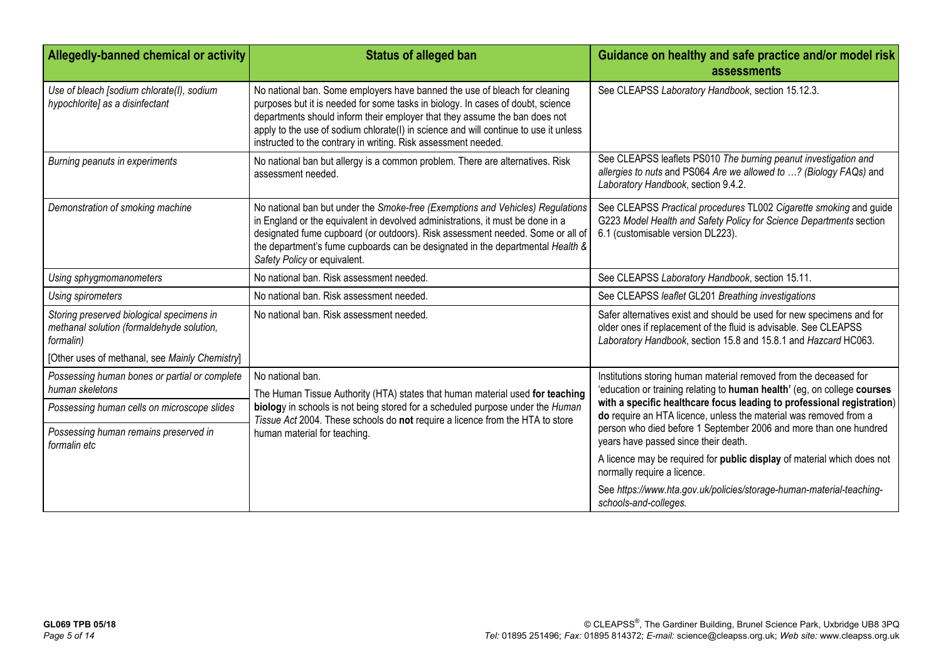| Allegedly-banned chemical or activity                                                               | <b>Status of alleged ban</b>                                                                                                                                                                                                                                                                                                                                                                          | Guidance on healthy and safe practice and/or model risk<br>assessments                                                                                                                                       |
|-----------------------------------------------------------------------------------------------------|-------------------------------------------------------------------------------------------------------------------------------------------------------------------------------------------------------------------------------------------------------------------------------------------------------------------------------------------------------------------------------------------------------|--------------------------------------------------------------------------------------------------------------------------------------------------------------------------------------------------------------|
| Use of bleach [sodium chlorate(I), sodium<br>hypochlorite] as a disinfectant                        | No national ban. Some employers have banned the use of bleach for cleaning<br>purposes but it is needed for some tasks in biology. In cases of doubt, science<br>departments should inform their employer that they assume the ban does not<br>apply to the use of sodium chlorate(I) in science and will continue to use it unless<br>instructed to the contrary in writing. Risk assessment needed. | See CLEAPSS Laboratory Handbook, section 15.12.3.                                                                                                                                                            |
| Burning peanuts in experiments                                                                      | No national ban but allergy is a common problem. There are alternatives. Risk<br>assessment needed.                                                                                                                                                                                                                                                                                                   | See CLEAPSS leaflets PS010 The burning peanut investigation and<br>allergies to nuts and PS064 Are we allowed to ? (Biology FAQs) and<br>Laboratory Handbook, section 9.4.2.                                 |
| Demonstration of smoking machine                                                                    | No national ban but under the Smoke-free (Exemptions and Vehicles) Regulations<br>in England or the equivalent in devolved administrations, it must be done in a<br>designated fume cupboard (or outdoors). Risk assessment needed. Some or all of<br>the department's fume cupboards can be designated in the departmental Health &<br>Safety Policy or equivalent.                                  | See CLEAPSS Practical procedures TL002 Cigarette smoking and guide<br>G223 Model Health and Safety Policy for Science Departments section<br>6.1 (customisable version DL223).                               |
| Using sphygmomanometers                                                                             | No national ban. Risk assessment needed.                                                                                                                                                                                                                                                                                                                                                              | See CLEAPSS Laboratory Handbook, section 15.11.                                                                                                                                                              |
| Using spirometers                                                                                   | No national ban. Risk assessment needed.                                                                                                                                                                                                                                                                                                                                                              | See CLEAPSS leaflet GL201 Breathing investigations                                                                                                                                                           |
| Storing preserved biological specimens in<br>methanal solution (formaldehyde solution,<br>formalin) | No national ban. Risk assessment needed.                                                                                                                                                                                                                                                                                                                                                              | Safer alternatives exist and should be used for new specimens and for<br>older ones if replacement of the fluid is advisable. See CLEAPSS<br>Laboratory Handbook, section 15.8 and 15.8.1 and Hazcard HC063. |
| [Other uses of methanal, see Mainly Chemistry]                                                      |                                                                                                                                                                                                                                                                                                                                                                                                       |                                                                                                                                                                                                              |
| Possessing human bones or partial or complete<br>human skeletons                                    | No national ban.<br>The Human Tissue Authority (HTA) states that human material used for teaching                                                                                                                                                                                                                                                                                                     | Institutions storing human material removed from the deceased for<br>'education or training relating to human health' (eg, on college courses                                                                |
| Possessing human cells on microscope slides                                                         | biology in schools is not being stored for a scheduled purpose under the Human                                                                                                                                                                                                                                                                                                                        | with a specific healthcare focus leading to professional registration)<br>do require an HTA licence, unless the material was removed from a                                                                  |
| Possessing human remains preserved in<br>formalin etc                                               | Tissue Act 2004. These schools do not require a licence from the HTA to store<br>human material for teaching.                                                                                                                                                                                                                                                                                         | person who died before 1 September 2006 and more than one hundred<br>years have passed since their death.                                                                                                    |
|                                                                                                     |                                                                                                                                                                                                                                                                                                                                                                                                       | A licence may be required for public display of material which does not<br>normally require a licence.                                                                                                       |
|                                                                                                     |                                                                                                                                                                                                                                                                                                                                                                                                       | See https://www.hta.gov.uk/policies/storage-human-material-teaching-<br>schools-and-colleges.                                                                                                                |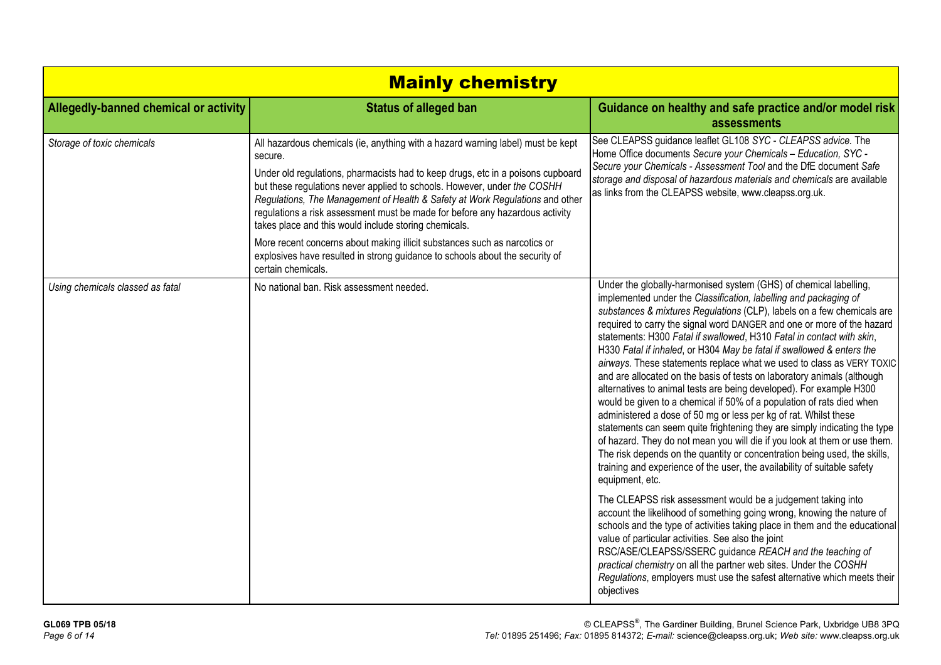| <b>Mainly chemistry</b>               |                                                                                                                                                                                                                                                                                                                                                                                                                                                                                                                                                                                                                                                                       |                                                                                                                                                                                                                                                                                                                                                                                                                                                                                                                                                                                                                                                                                                                                                                                                                                                                                                                                                                                                                                                                                                                                                                                                                           |
|---------------------------------------|-----------------------------------------------------------------------------------------------------------------------------------------------------------------------------------------------------------------------------------------------------------------------------------------------------------------------------------------------------------------------------------------------------------------------------------------------------------------------------------------------------------------------------------------------------------------------------------------------------------------------------------------------------------------------|---------------------------------------------------------------------------------------------------------------------------------------------------------------------------------------------------------------------------------------------------------------------------------------------------------------------------------------------------------------------------------------------------------------------------------------------------------------------------------------------------------------------------------------------------------------------------------------------------------------------------------------------------------------------------------------------------------------------------------------------------------------------------------------------------------------------------------------------------------------------------------------------------------------------------------------------------------------------------------------------------------------------------------------------------------------------------------------------------------------------------------------------------------------------------------------------------------------------------|
| Allegedly-banned chemical or activity | <b>Status of alleged ban</b>                                                                                                                                                                                                                                                                                                                                                                                                                                                                                                                                                                                                                                          | Guidance on healthy and safe practice and/or model risk<br>assessments                                                                                                                                                                                                                                                                                                                                                                                                                                                                                                                                                                                                                                                                                                                                                                                                                                                                                                                                                                                                                                                                                                                                                    |
| Storage of toxic chemicals            | All hazardous chemicals (ie, anything with a hazard warning label) must be kept<br>secure.<br>Under old regulations, pharmacists had to keep drugs, etc in a poisons cupboard<br>but these regulations never applied to schools. However, under the COSHH<br>Regulations, The Management of Health & Safety at Work Regulations and other<br>regulations a risk assessment must be made for before any hazardous activity<br>takes place and this would include storing chemicals.<br>More recent concerns about making illicit substances such as narcotics or<br>explosives have resulted in strong guidance to schools about the security of<br>certain chemicals. | See CLEAPSS guidance leaflet GL108 SYC - CLEAPSS advice. The<br>Home Office documents Secure your Chemicals - Education, SYC -<br>Secure your Chemicals - Assessment Tool and the DfE document Safe<br>storage and disposal of hazardous materials and chemicals are available<br>as links from the CLEAPSS website, www.cleapss.org.uk.                                                                                                                                                                                                                                                                                                                                                                                                                                                                                                                                                                                                                                                                                                                                                                                                                                                                                  |
| Using chemicals classed as fatal      | No national ban. Risk assessment needed.                                                                                                                                                                                                                                                                                                                                                                                                                                                                                                                                                                                                                              | Under the globally-harmonised system (GHS) of chemical labelling,<br>implemented under the Classification, labelling and packaging of<br>substances & mixtures Regulations (CLP), labels on a few chemicals are<br>required to carry the signal word DANGER and one or more of the hazard<br>statements: H300 Fatal if swallowed, H310 Fatal in contact with skin,<br>H330 Fatal if inhaled, or H304 May be fatal if swallowed & enters the<br>airways. These statements replace what we used to class as VERY TOXIC<br>and are allocated on the basis of tests on laboratory animals (although<br>alternatives to animal tests are being developed). For example H300<br>would be given to a chemical if 50% of a population of rats died when<br>administered a dose of 50 mg or less per kg of rat. Whilst these<br>statements can seem quite frightening they are simply indicating the type<br>of hazard. They do not mean you will die if you look at them or use them.<br>The risk depends on the quantity or concentration being used, the skills,<br>training and experience of the user, the availability of suitable safety<br>equipment, etc.<br>The CLEAPSS risk assessment would be a judgement taking into |
|                                       |                                                                                                                                                                                                                                                                                                                                                                                                                                                                                                                                                                                                                                                                       | account the likelihood of something going wrong, knowing the nature of<br>schools and the type of activities taking place in them and the educational<br>value of particular activities. See also the joint<br>RSC/ASE/CLEAPSS/SSERC guidance REACH and the teaching of<br>practical chemistry on all the partner web sites. Under the COSHH<br>Regulations, employers must use the safest alternative which meets their<br>objectives                                                                                                                                                                                                                                                                                                                                                                                                                                                                                                                                                                                                                                                                                                                                                                                    |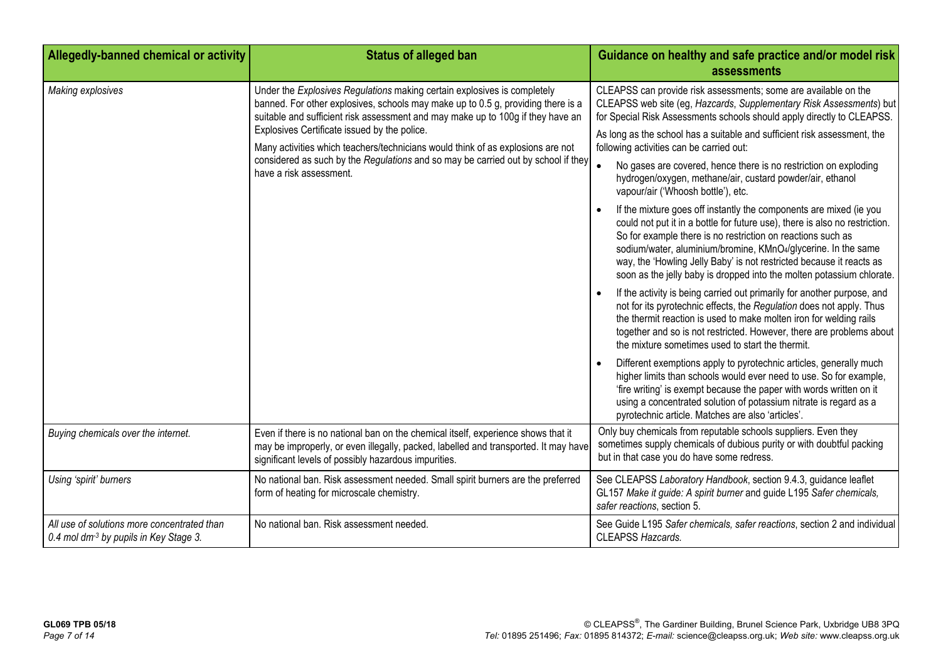| Allegedly-banned chemical or activity                                                             | <b>Status of alleged ban</b>                                                                                                                                                                                                                                                                                                                                                                                                                                                                       | Guidance on healthy and safe practice and/or model risk<br>assessments                                                                                                                                                                                                                                                                                                                                                                                                                                                                                                                                                                                                                                                                                                                                                                                                                                                                                                                                                                                                                                                                                                                                                                                                                                                                                                                                                                                                                                                                                                                                                                                                                         |
|---------------------------------------------------------------------------------------------------|----------------------------------------------------------------------------------------------------------------------------------------------------------------------------------------------------------------------------------------------------------------------------------------------------------------------------------------------------------------------------------------------------------------------------------------------------------------------------------------------------|------------------------------------------------------------------------------------------------------------------------------------------------------------------------------------------------------------------------------------------------------------------------------------------------------------------------------------------------------------------------------------------------------------------------------------------------------------------------------------------------------------------------------------------------------------------------------------------------------------------------------------------------------------------------------------------------------------------------------------------------------------------------------------------------------------------------------------------------------------------------------------------------------------------------------------------------------------------------------------------------------------------------------------------------------------------------------------------------------------------------------------------------------------------------------------------------------------------------------------------------------------------------------------------------------------------------------------------------------------------------------------------------------------------------------------------------------------------------------------------------------------------------------------------------------------------------------------------------------------------------------------------------------------------------------------------------|
| Making explosives                                                                                 | Under the Explosives Regulations making certain explosives is completely<br>banned. For other explosives, schools may make up to 0.5 g, providing there is a<br>suitable and sufficient risk assessment and may make up to 100g if they have an<br>Explosives Certificate issued by the police.<br>Many activities which teachers/technicians would think of as explosions are not<br>considered as such by the Regulations and so may be carried out by school if they<br>have a risk assessment. | CLEAPSS can provide risk assessments; some are available on the<br>CLEAPSS web site (eg, Hazcards, Supplementary Risk Assessments) but<br>for Special Risk Assessments schools should apply directly to CLEAPSS.<br>As long as the school has a suitable and sufficient risk assessment, the<br>following activities can be carried out:<br>No gases are covered, hence there is no restriction on exploding<br>hydrogen/oxygen, methane/air, custard powder/air, ethanol<br>vapour/air ('Whoosh bottle'), etc.<br>If the mixture goes off instantly the components are mixed (ie you<br>$\bullet$<br>could not put it in a bottle for future use), there is also no restriction.<br>So for example there is no restriction on reactions such as<br>sodium/water, aluminium/bromine, KMnO4/glycerine. In the same<br>way, the 'Howling Jelly Baby' is not restricted because it reacts as<br>soon as the jelly baby is dropped into the molten potassium chlorate.<br>If the activity is being carried out primarily for another purpose, and<br>$\bullet$<br>not for its pyrotechnic effects, the Regulation does not apply. Thus<br>the thermit reaction is used to make molten iron for welding rails<br>together and so is not restricted. However, there are problems about<br>the mixture sometimes used to start the thermit.<br>Different exemptions apply to pyrotechnic articles, generally much<br>$\bullet$<br>higher limits than schools would ever need to use. So for example,<br>'fire writing' is exempt because the paper with words written on it<br>using a concentrated solution of potassium nitrate is regard as a<br>pyrotechnic article. Matches are also 'articles'. |
| Buying chemicals over the internet.                                                               | Even if there is no national ban on the chemical itself, experience shows that it<br>may be improperly, or even illegally, packed, labelled and transported. It may have<br>significant levels of possibly hazardous impurities.                                                                                                                                                                                                                                                                   | Only buy chemicals from reputable schools suppliers. Even they<br>sometimes supply chemicals of dubious purity or with doubtful packing<br>but in that case you do have some redress.                                                                                                                                                                                                                                                                                                                                                                                                                                                                                                                                                                                                                                                                                                                                                                                                                                                                                                                                                                                                                                                                                                                                                                                                                                                                                                                                                                                                                                                                                                          |
| Using 'spirit' burners                                                                            | No national ban. Risk assessment needed. Small spirit burners are the preferred<br>form of heating for microscale chemistry.                                                                                                                                                                                                                                                                                                                                                                       | See CLEAPSS Laboratory Handbook, section 9.4.3, guidance leaflet<br>GL157 Make it guide: A spirit burner and guide L195 Safer chemicals,<br>safer reactions, section 5.                                                                                                                                                                                                                                                                                                                                                                                                                                                                                                                                                                                                                                                                                                                                                                                                                                                                                                                                                                                                                                                                                                                                                                                                                                                                                                                                                                                                                                                                                                                        |
| All use of solutions more concentrated than<br>0.4 mol dm <sup>-3</sup> by pupils in Key Stage 3. | No national ban. Risk assessment needed.                                                                                                                                                                                                                                                                                                                                                                                                                                                           | See Guide L195 Safer chemicals, safer reactions, section 2 and individual<br><b>CLEAPSS Hazcards.</b>                                                                                                                                                                                                                                                                                                                                                                                                                                                                                                                                                                                                                                                                                                                                                                                                                                                                                                                                                                                                                                                                                                                                                                                                                                                                                                                                                                                                                                                                                                                                                                                          |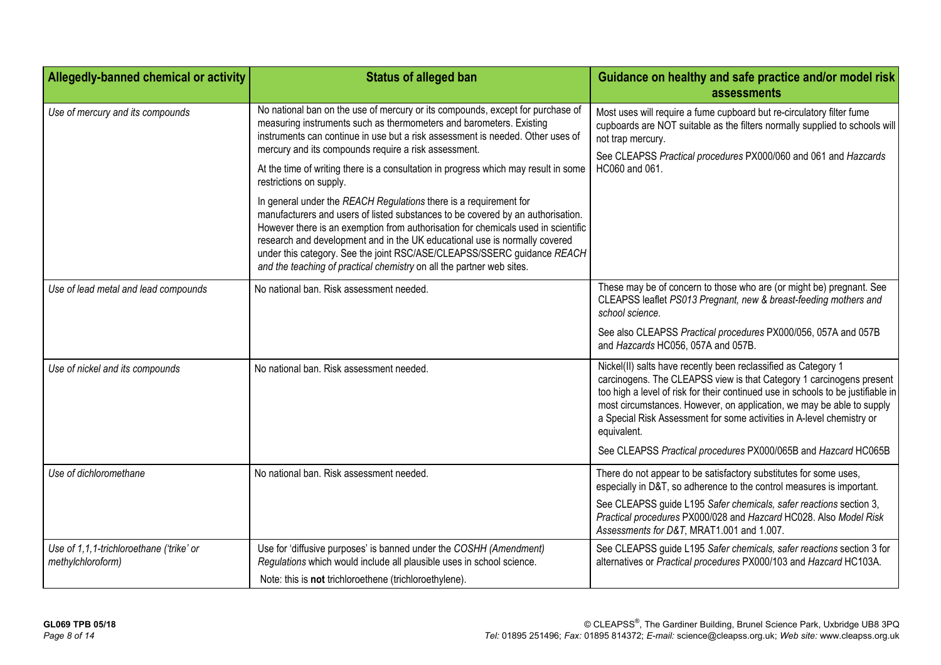| Allegedly-banned chemical or activity                         | <b>Status of alleged ban</b>                                                                                                                                                                                                                                                                                                                                                                                                                                                                                                                                                                                                                                                                                                                                                                                                                                                                     | Guidance on healthy and safe practice and/or model risk<br>assessments                                                                                                                                                                                                                                                                                                                                                                                        |
|---------------------------------------------------------------|--------------------------------------------------------------------------------------------------------------------------------------------------------------------------------------------------------------------------------------------------------------------------------------------------------------------------------------------------------------------------------------------------------------------------------------------------------------------------------------------------------------------------------------------------------------------------------------------------------------------------------------------------------------------------------------------------------------------------------------------------------------------------------------------------------------------------------------------------------------------------------------------------|---------------------------------------------------------------------------------------------------------------------------------------------------------------------------------------------------------------------------------------------------------------------------------------------------------------------------------------------------------------------------------------------------------------------------------------------------------------|
| Use of mercury and its compounds                              | No national ban on the use of mercury or its compounds, except for purchase of<br>measuring instruments such as thermometers and barometers. Existing<br>instruments can continue in use but a risk assessment is needed. Other uses of<br>mercury and its compounds require a risk assessment.<br>At the time of writing there is a consultation in progress which may result in some<br>restrictions on supply.<br>In general under the REACH Regulations there is a requirement for<br>manufacturers and users of listed substances to be covered by an authorisation.<br>However there is an exemption from authorisation for chemicals used in scientific<br>research and development and in the UK educational use is normally covered<br>under this category. See the joint RSC/ASE/CLEAPSS/SSERC guidance REACH<br>and the teaching of practical chemistry on all the partner web sites. | Most uses will require a fume cupboard but re-circulatory filter fume<br>cupboards are NOT suitable as the filters normally supplied to schools will<br>not trap mercury.<br>See CLEAPSS Practical procedures PX000/060 and 061 and Hazcards<br>HC060 and 061.                                                                                                                                                                                                |
| Use of lead metal and lead compounds                          | No national ban. Risk assessment needed.                                                                                                                                                                                                                                                                                                                                                                                                                                                                                                                                                                                                                                                                                                                                                                                                                                                         | These may be of concern to those who are (or might be) pregnant. See<br>CLEAPSS leaflet PS013 Pregnant, new & breast-feeding mothers and<br>school science.<br>See also CLEAPSS Practical procedures PX000/056, 057A and 057B<br>and Hazcards HC056, 057A and 057B.                                                                                                                                                                                           |
| Use of nickel and its compounds                               | No national ban. Risk assessment needed.                                                                                                                                                                                                                                                                                                                                                                                                                                                                                                                                                                                                                                                                                                                                                                                                                                                         | Nickel(II) salts have recently been reclassified as Category 1<br>carcinogens. The CLEAPSS view is that Category 1 carcinogens present<br>too high a level of risk for their continued use in schools to be justifiable in<br>most circumstances. However, on application, we may be able to supply<br>a Special Risk Assessment for some activities in A-level chemistry or<br>equivalent.<br>See CLEAPSS Practical procedures PX000/065B and Hazcard HC065B |
| Use of dichloromethane                                        | No national ban. Risk assessment needed.                                                                                                                                                                                                                                                                                                                                                                                                                                                                                                                                                                                                                                                                                                                                                                                                                                                         | There do not appear to be satisfactory substitutes for some uses,<br>especially in D&T, so adherence to the control measures is important.<br>See CLEAPSS guide L195 Safer chemicals, safer reactions section 3,<br>Practical procedures PX000/028 and Hazcard HC028. Also Model Risk<br>Assessments for D&T, MRAT1.001 and 1.007.                                                                                                                            |
| Use of 1,1,1-trichloroethane ('trike' or<br>methylchloroform) | Use for 'diffusive purposes' is banned under the COSHH (Amendment)<br>Regulations which would include all plausible uses in school science.<br>Note: this is not trichloroethene (trichloroethylene).                                                                                                                                                                                                                                                                                                                                                                                                                                                                                                                                                                                                                                                                                            | See CLEAPSS guide L195 Safer chemicals, safer reactions section 3 for<br>alternatives or Practical procedures PX000/103 and Hazcard HC103A.                                                                                                                                                                                                                                                                                                                   |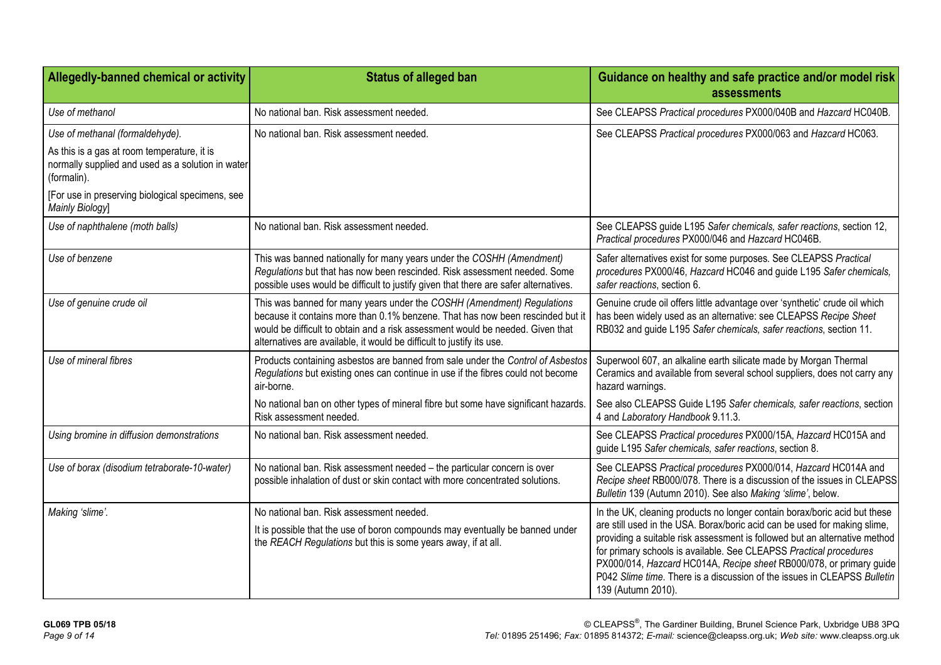| Allegedly-banned chemical or activity                                                                           | <b>Status of alleged ban</b>                                                                                                                                                                                                                                                                                        | Guidance on healthy and safe practice and/or model risk<br>assessments                                                                                                                                                                                                                                                                                                                                 |
|-----------------------------------------------------------------------------------------------------------------|---------------------------------------------------------------------------------------------------------------------------------------------------------------------------------------------------------------------------------------------------------------------------------------------------------------------|--------------------------------------------------------------------------------------------------------------------------------------------------------------------------------------------------------------------------------------------------------------------------------------------------------------------------------------------------------------------------------------------------------|
| Use of methanol                                                                                                 | No national ban. Risk assessment needed.                                                                                                                                                                                                                                                                            | See CLEAPSS Practical procedures PX000/040B and Hazcard HC040B.                                                                                                                                                                                                                                                                                                                                        |
| Use of methanal (formaldehyde).                                                                                 | No national ban. Risk assessment needed.                                                                                                                                                                                                                                                                            | See CLEAPSS Practical procedures PX000/063 and Hazcard HC063.                                                                                                                                                                                                                                                                                                                                          |
| As this is a gas at room temperature, it is<br>normally supplied and used as a solution in water<br>(formalin). |                                                                                                                                                                                                                                                                                                                     |                                                                                                                                                                                                                                                                                                                                                                                                        |
| [For use in preserving biological specimens, see<br>Mainly Biology]                                             |                                                                                                                                                                                                                                                                                                                     |                                                                                                                                                                                                                                                                                                                                                                                                        |
| Use of naphthalene (moth balls)                                                                                 | No national ban. Risk assessment needed.                                                                                                                                                                                                                                                                            | See CLEAPSS guide L195 Safer chemicals, safer reactions, section 12,<br>Practical procedures PX000/046 and Hazcard HC046B.                                                                                                                                                                                                                                                                             |
| Use of benzene                                                                                                  | This was banned nationally for many years under the COSHH (Amendment)<br>Regulations but that has now been rescinded. Risk assessment needed. Some<br>possible uses would be difficult to justify given that there are safer alternatives.                                                                          | Safer alternatives exist for some purposes. See CLEAPSS Practical<br>procedures PX000/46, Hazcard HC046 and guide L195 Safer chemicals,<br>safer reactions, section 6.                                                                                                                                                                                                                                 |
| Use of genuine crude oil                                                                                        | This was banned for many years under the COSHH (Amendment) Regulations<br>because it contains more than 0.1% benzene. That has now been rescinded but it<br>would be difficult to obtain and a risk assessment would be needed. Given that<br>alternatives are available, it would be difficult to justify its use. | Genuine crude oil offers little advantage over 'synthetic' crude oil which<br>has been widely used as an alternative: see CLEAPSS Recipe Sheet<br>RB032 and guide L195 Safer chemicals, safer reactions, section 11.                                                                                                                                                                                   |
| Use of mineral fibres                                                                                           | Products containing asbestos are banned from sale under the Control of Asbestos<br>Regulations but existing ones can continue in use if the fibres could not become<br>air-borne.                                                                                                                                   | Superwool 607, an alkaline earth silicate made by Morgan Thermal<br>Ceramics and available from several school suppliers, does not carry any<br>hazard warnings.                                                                                                                                                                                                                                       |
|                                                                                                                 | No national ban on other types of mineral fibre but some have significant hazards.<br>Risk assessment needed.                                                                                                                                                                                                       | See also CLEAPSS Guide L195 Safer chemicals, safer reactions, section<br>4 and Laboratory Handbook 9.11.3.                                                                                                                                                                                                                                                                                             |
| Using bromine in diffusion demonstrations                                                                       | No national ban. Risk assessment needed.                                                                                                                                                                                                                                                                            | See CLEAPSS Practical procedures PX000/15A, Hazcard HC015A and<br>guide L195 Safer chemicals, safer reactions, section 8.                                                                                                                                                                                                                                                                              |
| Use of borax (disodium tetraborate-10-water)                                                                    | No national ban. Risk assessment needed - the particular concern is over<br>possible inhalation of dust or skin contact with more concentrated solutions.                                                                                                                                                           | See CLEAPSS Practical procedures PX000/014, Hazcard HC014A and<br>Recipe sheet RB000/078. There is a discussion of the issues in CLEAPSS<br>Bulletin 139 (Autumn 2010). See also Making 'slime', below.                                                                                                                                                                                                |
| Making 'slime'.                                                                                                 | No national ban. Risk assessment needed.                                                                                                                                                                                                                                                                            | In the UK, cleaning products no longer contain borax/boric acid but these                                                                                                                                                                                                                                                                                                                              |
|                                                                                                                 | It is possible that the use of boron compounds may eventually be banned under<br>the REACH Regulations but this is some years away, if at all.                                                                                                                                                                      | are still used in the USA. Borax/boric acid can be used for making slime,<br>providing a suitable risk assessment is followed but an alternative method<br>for primary schools is available. See CLEAPSS Practical procedures<br>PX000/014, Hazcard HC014A, Recipe sheet RB000/078, or primary guide<br>P042 Slime time. There is a discussion of the issues in CLEAPSS Bulletin<br>139 (Autumn 2010). |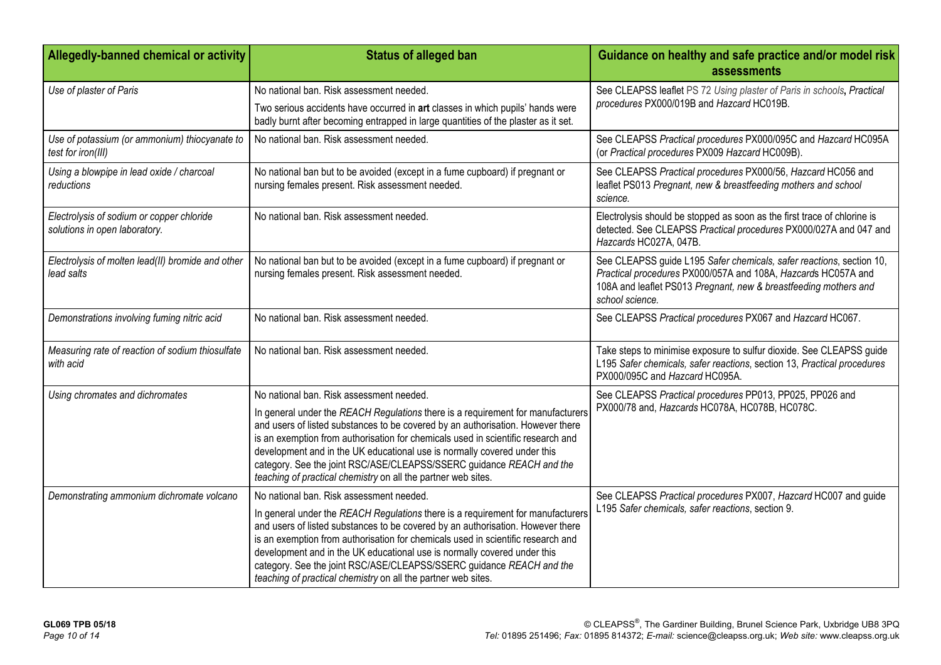| Allegedly-banned chemical or activity                                      | <b>Status of alleged ban</b>                                                                                                                                                                                                                                                                                                                                                                                                                                                                                            | Guidance on healthy and safe practice and/or model risk<br>assessments                                                                                                                                                       |
|----------------------------------------------------------------------------|-------------------------------------------------------------------------------------------------------------------------------------------------------------------------------------------------------------------------------------------------------------------------------------------------------------------------------------------------------------------------------------------------------------------------------------------------------------------------------------------------------------------------|------------------------------------------------------------------------------------------------------------------------------------------------------------------------------------------------------------------------------|
| Use of plaster of Paris                                                    | No national ban. Risk assessment needed.<br>Two serious accidents have occurred in art classes in which pupils' hands were<br>badly burnt after becoming entrapped in large quantities of the plaster as it set.                                                                                                                                                                                                                                                                                                        | See CLEAPSS leaflet PS 72 Using plaster of Paris in schools, Practical<br>procedures PX000/019B and Hazcard HC019B.                                                                                                          |
| Use of potassium (or ammonium) thiocyanate to<br>test for iron(III)        | No national ban. Risk assessment needed.                                                                                                                                                                                                                                                                                                                                                                                                                                                                                | See CLEAPSS Practical procedures PX000/095C and Hazcard HC095A<br>(or Practical procedures PX009 Hazcard HC009B).                                                                                                            |
| Using a blowpipe in lead oxide / charcoal<br>reductions                    | No national ban but to be avoided (except in a fume cupboard) if pregnant or<br>nursing females present. Risk assessment needed.                                                                                                                                                                                                                                                                                                                                                                                        | See CLEAPSS Practical procedures PX000/56, Hazcard HC056 and<br>leaflet PS013 Pregnant, new & breastfeeding mothers and school<br>science.                                                                                   |
| Electrolysis of sodium or copper chloride<br>solutions in open laboratory. | No national ban. Risk assessment needed.                                                                                                                                                                                                                                                                                                                                                                                                                                                                                | Electrolysis should be stopped as soon as the first trace of chlorine is<br>detected. See CLEAPSS Practical procedures PX000/027A and 047 and<br>Hazcards HC027A, 047B.                                                      |
| Electrolysis of molten lead(II) bromide and other<br>lead salts            | No national ban but to be avoided (except in a fume cupboard) if pregnant or<br>nursing females present. Risk assessment needed.                                                                                                                                                                                                                                                                                                                                                                                        | See CLEAPSS guide L195 Safer chemicals, safer reactions, section 10,<br>Practical procedures PX000/057A and 108A, Hazcards HC057A and<br>108A and leaflet PS013 Pregnant, new & breastfeeding mothers and<br>school science. |
| Demonstrations involving fuming nitric acid                                | No national ban. Risk assessment needed.                                                                                                                                                                                                                                                                                                                                                                                                                                                                                | See CLEAPSS Practical procedures PX067 and Hazcard HC067.                                                                                                                                                                    |
| Measuring rate of reaction of sodium thiosulfate<br>with acid              | No national ban. Risk assessment needed.                                                                                                                                                                                                                                                                                                                                                                                                                                                                                | Take steps to minimise exposure to sulfur dioxide. See CLEAPSS guide<br>L195 Safer chemicals, safer reactions, section 13, Practical procedures<br>PX000/095C and Hazcard HC095A.                                            |
| Using chromates and dichromates                                            | No national ban. Risk assessment needed.                                                                                                                                                                                                                                                                                                                                                                                                                                                                                | See CLEAPSS Practical procedures PP013, PP025, PP026 and                                                                                                                                                                     |
|                                                                            | In general under the REACH Regulations there is a requirement for manufacturers<br>and users of listed substances to be covered by an authorisation. However there<br>is an exemption from authorisation for chemicals used in scientific research and<br>development and in the UK educational use is normally covered under this<br>category. See the joint RSC/ASE/CLEAPSS/SSERC guidance REACH and the<br>teaching of practical chemistry on all the partner web sites.                                             | PX000/78 and, Hazcards HC078A, HC078B, HC078C.                                                                                                                                                                               |
| Demonstrating ammonium dichromate volcano                                  | No national ban. Risk assessment needed.<br>In general under the REACH Regulations there is a requirement for manufacturers<br>and users of listed substances to be covered by an authorisation. However there<br>is an exemption from authorisation for chemicals used in scientific research and<br>development and in the UK educational use is normally covered under this<br>category. See the joint RSC/ASE/CLEAPSS/SSERC guidance REACH and the<br>teaching of practical chemistry on all the partner web sites. | See CLEAPSS Practical procedures PX007, Hazcard HC007 and guide<br>L195 Safer chemicals, safer reactions, section 9.                                                                                                         |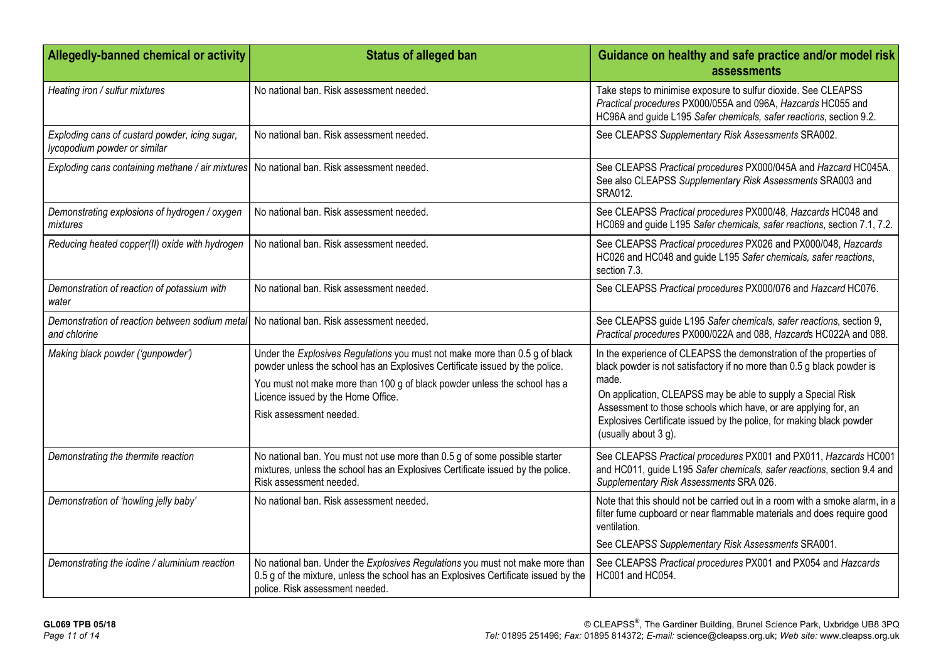| Allegedly-banned chemical or activity                                                                   | <b>Status of alleged ban</b>                                                                                                                                                                                                                                                                              | Guidance on healthy and safe practice and/or model risk<br>assessments                                                                                                                                                                                                                                                                                                                    |
|---------------------------------------------------------------------------------------------------------|-----------------------------------------------------------------------------------------------------------------------------------------------------------------------------------------------------------------------------------------------------------------------------------------------------------|-------------------------------------------------------------------------------------------------------------------------------------------------------------------------------------------------------------------------------------------------------------------------------------------------------------------------------------------------------------------------------------------|
| Heating iron / sulfur mixtures                                                                          | No national ban. Risk assessment needed.                                                                                                                                                                                                                                                                  | Take steps to minimise exposure to sulfur dioxide. See CLEAPSS<br>Practical procedures PX000/055A and 096A, Hazcards HC055 and<br>HC96A and guide L195 Safer chemicals, safer reactions, section 9.2.                                                                                                                                                                                     |
| Exploding cans of custard powder, icing sugar,<br>lycopodium powder or similar                          | No national ban. Risk assessment needed.                                                                                                                                                                                                                                                                  | See CLEAPSS Supplementary Risk Assessments SRA002.                                                                                                                                                                                                                                                                                                                                        |
| Exploding cans containing methane / air mixtures   No national ban. Risk assessment needed.             |                                                                                                                                                                                                                                                                                                           | See CLEAPSS Practical procedures PX000/045A and Hazcard HC045A.<br>See also CLEAPSS Supplementary Risk Assessments SRA003 and<br>SRA012.                                                                                                                                                                                                                                                  |
| Demonstrating explosions of hydrogen / oxygen<br>mixtures                                               | No national ban. Risk assessment needed.                                                                                                                                                                                                                                                                  | See CLEAPSS Practical procedures PX000/48, Hazcards HC048 and<br>HC069 and guide L195 Safer chemicals, safer reactions, section 7.1, 7.2.                                                                                                                                                                                                                                                 |
| Reducing heated copper(II) oxide with hydrogen                                                          | No national ban. Risk assessment needed.                                                                                                                                                                                                                                                                  | See CLEAPSS Practical procedures PX026 and PX000/048, Hazcards<br>HC026 and HC048 and guide L195 Safer chemicals, safer reactions,<br>section 7.3.                                                                                                                                                                                                                                        |
| Demonstration of reaction of potassium with<br>water                                                    | No national ban. Risk assessment needed.                                                                                                                                                                                                                                                                  | See CLEAPSS Practical procedures PX000/076 and Hazcard HC076.                                                                                                                                                                                                                                                                                                                             |
| Demonstration of reaction between sodium metal No national ban. Risk assessment needed.<br>and chlorine |                                                                                                                                                                                                                                                                                                           | See CLEAPSS guide L195 Safer chemicals, safer reactions, section 9,<br>Practical procedures PX000/022A and 088, Hazcards HC022A and 088.                                                                                                                                                                                                                                                  |
| Making black powder ('gunpowder')                                                                       | Under the Explosives Regulations you must not make more than 0.5 g of black<br>powder unless the school has an Explosives Certificate issued by the police.<br>You must not make more than 100 g of black powder unless the school has a<br>Licence issued by the Home Office.<br>Risk assessment needed. | In the experience of CLEAPSS the demonstration of the properties of<br>black powder is not satisfactory if no more than 0.5 g black powder is<br>made.<br>On application, CLEAPSS may be able to supply a Special Risk<br>Assessment to those schools which have, or are applying for, an<br>Explosives Certificate issued by the police, for making black powder<br>(usually about 3 g). |
| Demonstrating the thermite reaction                                                                     | No national ban. You must not use more than 0.5 g of some possible starter<br>mixtures, unless the school has an Explosives Certificate issued by the police.<br>Risk assessment needed.                                                                                                                  | See CLEAPSS Practical procedures PX001 and PX011, Hazcards HC001<br>and HC011, guide L195 Safer chemicals, safer reactions, section 9.4 and<br>Supplementary Risk Assessments SRA 026.                                                                                                                                                                                                    |
| Demonstration of 'howling jelly baby'                                                                   | No national ban. Risk assessment needed.                                                                                                                                                                                                                                                                  | Note that this should not be carried out in a room with a smoke alarm, in a<br>filter fume cupboard or near flammable materials and does require good<br>ventilation.<br>See CLEAPSS Supplementary Risk Assessments SRA001.                                                                                                                                                               |
| Demonstrating the iodine / aluminium reaction                                                           | No national ban. Under the Explosives Regulations you must not make more than<br>0.5 g of the mixture, unless the school has an Explosives Certificate issued by the<br>police. Risk assessment needed.                                                                                                   | See CLEAPSS Practical procedures PX001 and PX054 and Hazcards<br>HC001 and HC054.                                                                                                                                                                                                                                                                                                         |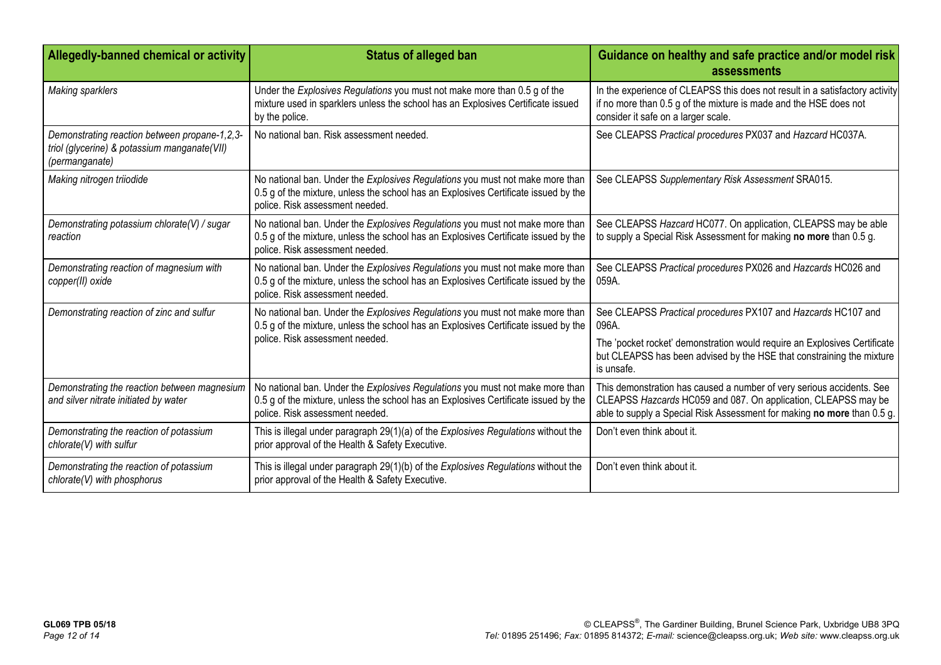| Allegedly-banned chemical or activity                                                                           | <b>Status of alleged ban</b>                                                                                                                                                                            | Guidance on healthy and safe practice and/or model risk<br>assessments                                                                                                                                             |
|-----------------------------------------------------------------------------------------------------------------|---------------------------------------------------------------------------------------------------------------------------------------------------------------------------------------------------------|--------------------------------------------------------------------------------------------------------------------------------------------------------------------------------------------------------------------|
| <b>Making sparklers</b>                                                                                         | Under the Explosives Regulations you must not make more than 0.5 g of the<br>mixture used in sparklers unless the school has an Explosives Certificate issued<br>by the police.                         | In the experience of CLEAPSS this does not result in a satisfactory activity<br>if no more than 0.5 g of the mixture is made and the HSE does not<br>consider it safe on a larger scale.                           |
| Demonstrating reaction between propane-1,2,3-<br>triol (glycerine) & potassium manganate(VII)<br>(permanganate) | No national ban. Risk assessment needed.                                                                                                                                                                | See CLEAPSS Practical procedures PX037 and Hazcard HC037A.                                                                                                                                                         |
| Making nitrogen triiodide                                                                                       | No national ban. Under the Explosives Regulations you must not make more than<br>0.5 g of the mixture, unless the school has an Explosives Certificate issued by the<br>police. Risk assessment needed. | See CLEAPSS Supplementary Risk Assessment SRA015.                                                                                                                                                                  |
| Demonstrating potassium chlorate(V) / sugar<br>reaction                                                         | No national ban. Under the Explosives Regulations you must not make more than<br>0.5 g of the mixture, unless the school has an Explosives Certificate issued by the<br>police. Risk assessment needed. | See CLEAPSS Hazcard HC077. On application, CLEAPSS may be able<br>to supply a Special Risk Assessment for making no more than 0.5 g.                                                                               |
| Demonstrating reaction of magnesium with<br>copper(II) oxide                                                    | No national ban. Under the Explosives Regulations you must not make more than<br>0.5 g of the mixture, unless the school has an Explosives Certificate issued by the<br>police. Risk assessment needed. | See CLEAPSS Practical procedures PX026 and Hazcards HC026 and<br>059A.                                                                                                                                             |
| Demonstrating reaction of zinc and sulfur                                                                       | No national ban. Under the Explosives Regulations you must not make more than<br>0.5 g of the mixture, unless the school has an Explosives Certificate issued by the                                    | See CLEAPSS Practical procedures PX107 and Hazcards HC107 and<br>096A.                                                                                                                                             |
|                                                                                                                 | police. Risk assessment needed.                                                                                                                                                                         | The 'pocket rocket' demonstration would require an Explosives Certificate<br>but CLEAPSS has been advised by the HSE that constraining the mixture<br>is unsafe.                                                   |
| Demonstrating the reaction between magnesium<br>and silver nitrate initiated by water                           | No national ban. Under the Explosives Regulations you must not make more than<br>0.5 g of the mixture, unless the school has an Explosives Certificate issued by the<br>police. Risk assessment needed. | This demonstration has caused a number of very serious accidents. See<br>CLEAPSS Hazcards HC059 and 087. On application, CLEAPSS may be<br>able to supply a Special Risk Assessment for making no more than 0.5 g. |
| Demonstrating the reaction of potassium<br>chlorate(V) with sulfur                                              | This is illegal under paragraph 29(1)(a) of the Explosives Regulations without the<br>prior approval of the Health & Safety Executive.                                                                  | Don't even think about it.                                                                                                                                                                                         |
| Demonstrating the reaction of potassium<br>chlorate(V) with phosphorus                                          | This is illegal under paragraph 29(1)(b) of the Explosives Regulations without the<br>prior approval of the Health & Safety Executive.                                                                  | Don't even think about it.                                                                                                                                                                                         |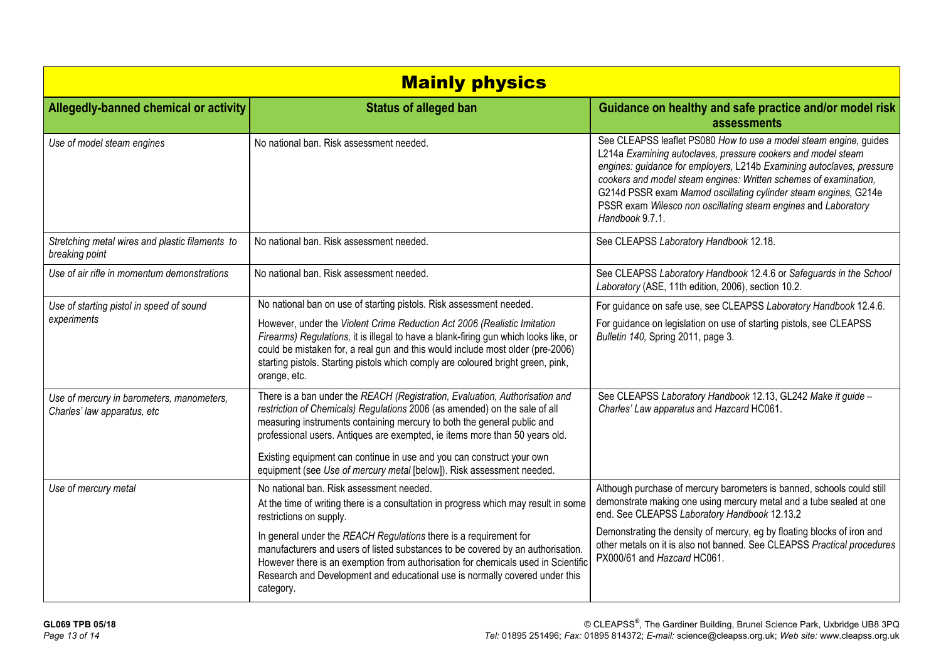| <b>Mainly physics</b>                                                    |                                                                                                                                                                                                                                                                                                                                                                                              |                                                                                                                                                                                                                                                                                                                                                                                                                                        |
|--------------------------------------------------------------------------|----------------------------------------------------------------------------------------------------------------------------------------------------------------------------------------------------------------------------------------------------------------------------------------------------------------------------------------------------------------------------------------------|----------------------------------------------------------------------------------------------------------------------------------------------------------------------------------------------------------------------------------------------------------------------------------------------------------------------------------------------------------------------------------------------------------------------------------------|
| Allegedly-banned chemical or activity                                    | <b>Status of alleged ban</b>                                                                                                                                                                                                                                                                                                                                                                 | Guidance on healthy and safe practice and/or model risk<br>assessments                                                                                                                                                                                                                                                                                                                                                                 |
| Use of model steam engines                                               | No national ban. Risk assessment needed.                                                                                                                                                                                                                                                                                                                                                     | See CLEAPSS leaflet PS080 How to use a model steam engine, guides<br>L214a Examining autoclaves, pressure cookers and model steam<br>engines: guidance for employers, L214b Examining autoclaves, pressure<br>cookers and model steam engines: Written schemes of examination,<br>G214d PSSR exam Mamod oscillating cylinder steam engines, G214e<br>PSSR exam Wilesco non oscillating steam engines and Laboratory<br>Handbook 9.7.1. |
| Stretching metal wires and plastic filaments to<br>breaking point        | No national ban. Risk assessment needed.                                                                                                                                                                                                                                                                                                                                                     | See CLEAPSS Laboratory Handbook 12.18.                                                                                                                                                                                                                                                                                                                                                                                                 |
| Use of air rifle in momentum demonstrations                              | No national ban. Risk assessment needed.                                                                                                                                                                                                                                                                                                                                                     | See CLEAPSS Laboratory Handbook 12.4.6 or Safeguards in the School<br>Laboratory (ASE, 11th edition, 2006), section 10.2.                                                                                                                                                                                                                                                                                                              |
| Use of starting pistol in speed of sound                                 | No national ban on use of starting pistols. Risk assessment needed.                                                                                                                                                                                                                                                                                                                          | For guidance on safe use, see CLEAPSS Laboratory Handbook 12.4.6.                                                                                                                                                                                                                                                                                                                                                                      |
| experiments                                                              | However, under the Violent Crime Reduction Act 2006 (Realistic Imitation<br>Firearms) Regulations, it is illegal to have a blank-firing gun which looks like, or<br>could be mistaken for, a real gun and this would include most older (pre-2006)<br>starting pistols. Starting pistols which comply are coloured bright green, pink,<br>orange, etc.                                       | For guidance on legislation on use of starting pistols, see CLEAPSS<br>Bulletin 140, Spring 2011, page 3.                                                                                                                                                                                                                                                                                                                              |
| Use of mercury in barometers, manometers,<br>Charles' law apparatus, etc | There is a ban under the REACH (Registration, Evaluation, Authorisation and<br>restriction of Chemicals) Regulations 2006 (as amended) on the sale of all<br>measuring instruments containing mercury to both the general public and<br>professional users. Antiques are exempted, ie items more than 50 years old.<br>Existing equipment can continue in use and you can construct your own | See CLEAPSS Laboratory Handbook 12.13, GL242 Make it guide -<br>Charles' Law apparatus and Hazcard HC061.                                                                                                                                                                                                                                                                                                                              |
|                                                                          | equipment (see Use of mercury metal [below]). Risk assessment needed.                                                                                                                                                                                                                                                                                                                        |                                                                                                                                                                                                                                                                                                                                                                                                                                        |
| Use of mercury metal                                                     | No national ban. Risk assessment needed.<br>At the time of writing there is a consultation in progress which may result in some<br>restrictions on supply.                                                                                                                                                                                                                                   | Although purchase of mercury barometers is banned, schools could still<br>demonstrate making one using mercury metal and a tube sealed at one<br>end. See CLEAPSS Laboratory Handbook 12.13.2                                                                                                                                                                                                                                          |
|                                                                          | In general under the REACH Regulations there is a requirement for<br>manufacturers and users of listed substances to be covered by an authorisation.<br>However there is an exemption from authorisation for chemicals used in Scientific<br>Research and Development and educational use is normally covered under this<br>category.                                                        | Demonstrating the density of mercury, eg by floating blocks of iron and<br>other metals on it is also not banned. See CLEAPSS Practical procedures<br>PX000/61 and Hazcard HC061.                                                                                                                                                                                                                                                      |